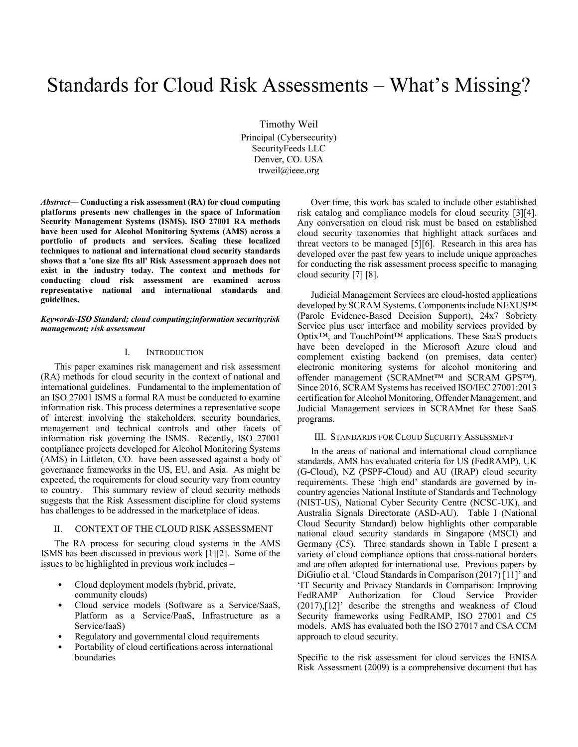# Standards for Cloud Risk Assessments – What's Missing?

Timothy Weil Principal (Cybersecurity) SecurityFeeds LLC Denver, CO. USA trweil@ieee.org

*Abstract***— Conducting a risk assessment (RA) for cloud computing platforms presents new challenges in the space of Information Security Management Systems (ISMS). ISO 27001 RA methods have been used for Alcohol Monitoring Systems (AMS) across a portfolio of products and services. Scaling these localized techniques to national and international cloud security standards shows that a 'one size fits all' Risk Assessment approach does not exist in the industry today. The context and methods for conducting cloud risk assessment are examined across representative national and international standards and guidelines.** 

#### *Keywords-ISO Standard; cloud computing;information security;risk management; risk assessment*

## I. INTRODUCTION

This paper examines risk management and risk assessment (RA) methods for cloud security in the context of national and international guidelines. Fundamental to the implementation of an ISO 27001 ISMS a formal RA must be conducted to examine information risk. This process determines a representative scope of interest involving the stakeholders, security boundaries, management and technical controls and other facets of information risk governing the ISMS. Recently, ISO 27001 compliance projects developed for Alcohol Monitoring Systems (AMS) in Littleton, CO. have been assessed against a body of governance frameworks in the US, EU, and Asia. As might be expected, the requirements for cloud security vary from country to country. This summary review of cloud security methods suggests that the Risk Assessment discipline for cloud systems has challenges to be addressed in the marketplace of ideas.

#### II. CONTEXT OF THE CLOUD RISK ASSESSMENT

The RA process for securing cloud systems in the AMS ISMS has been discussed in previous work [1][2]. Some of the issues to be highlighted in previous work includes –

- Cloud deployment models (hybrid, private, community clouds)
- Cloud service models (Software as a Service/SaaS, Platform as a Service/PaaS, Infrastructure as a Service/IaaS)
- Regulatory and governmental cloud requirements
- Portability of cloud certifications across international boundaries

Over time, this work has scaled to include other established risk catalog and compliance models for cloud security [3][4]. Any conversation on cloud risk must be based on established cloud security taxonomies that highlight attack surfaces and threat vectors to be managed [5][6]. Research in this area has developed over the past few years to include unique approaches for conducting the risk assessment process specific to managing cloud security [7] [8].

Judicial Management Services are cloud-hosted applications developed by SCRAM Systems. Components include NEXUS™ (Parole Evidence-Based Decision Support), 24x7 Sobriety Service plus user interface and mobility services provided by Optix™, and TouchPoint™ applications. These SaaS products have been developed in the Microsoft Azure cloud and complement existing backend (on premises, data center) electronic monitoring systems for alcohol monitoring and offender management (SCRAMnet™ and SCRAM GPS™). Since 2016, SCRAM Systems has received ISO/IEC 27001:2013 certification for Alcohol Monitoring, Offender Management, and Judicial Management services in SCRAMnet for these SaaS programs.

#### III. STANDARDS FOR CLOUD SECURITY ASSESSMENT

In the areas of national and international cloud compliance standards, AMS has evaluated criteria for US (FedRAMP), UK (G-Cloud), NZ (PSPF-Cloud) and AU (IRAP) cloud security requirements. These 'high end' standards are governed by incountry agencies National Institute of Standards and Technology (NIST-US), National Cyber Security Centre (NCSC-UK), and Australia Signals Directorate (ASD-AU). Table I (National Cloud Security Standard) below highlights other comparable national cloud security standards in Singapore (MSCI) and Germany (C5). Three standards shown in Table I present a variety of cloud compliance options that cross-national borders and are often adopted for international use. Previous papers by DiGiulio et al. 'Cloud Standards in Comparison (2017) [11]' and 'IT Security and Privacy Standards in Comparison: Improving FedRAMP Authorization for Cloud Service Provider (2017),[12]' describe the strengths and weakness of Cloud Security frameworks using FedRAMP, ISO 27001 and C5 models. AMS has evaluated both the ISO 27017 and CSA CCM approach to cloud security.

Specific to the risk assessment for cloud services the ENISA Risk Assessment (2009) is a comprehensive document that has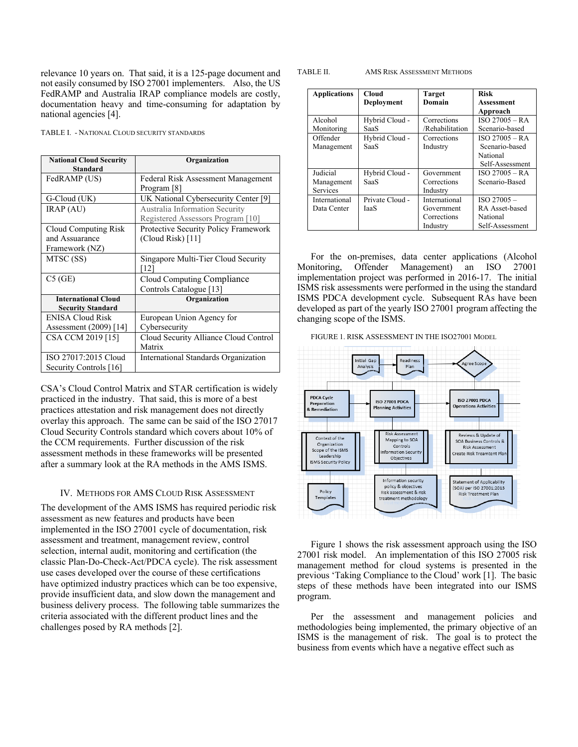relevance 10 years on. That said, it is a 125-page document and not easily consumed by ISO 27001 implementers. Also, the US FedRAMP and Australia IRAP compliance models are costly, documentation heavy and time-consuming for adaptation by national agencies [4].

TABLE I. - NATIONAL CLOUD SECURITY STANDARDS

| <b>National Cloud Security</b><br><b>Standard</b>      | Organization                          |
|--------------------------------------------------------|---------------------------------------|
| FedRAMP (US)                                           | Federal Risk Assessment Management    |
|                                                        | Program [8]                           |
| G-Cloud (UK)                                           | UK National Cybersecurity Center [9]  |
| IRAP (AU)                                              | Australia Information Security        |
|                                                        | Registered Assessors Program [10]     |
| Cloud Computing Risk                                   | Protective Security Policy Framework  |
| and Assuarance                                         | (Cloud Risk) [11]                     |
| Framework (NZ)                                         |                                       |
| MTSC (SS)                                              | Singapore Multi-Tier Cloud Security   |
|                                                        | 121                                   |
| C5(GE)                                                 | Cloud Computing Compliance            |
|                                                        | Controls Catalogue [13]               |
| <b>International Cloud</b><br><b>Security Standard</b> | Organization                          |
| <b>ENISA Cloud Risk</b>                                | European Union Agency for             |
| Assessment (2009) [14]                                 | Cybersecurity                         |
| CSA CCM 2019 [15]                                      | Cloud Security Alliance Cloud Control |
|                                                        | Matrix                                |
| ISO 27017:2015 Cloud                                   | International Standards Organization  |
| Security Controls [16]                                 |                                       |

CSA's Cloud Control Matrix and STAR certification is widely practiced in the industry. That said, this is more of a best practices attestation and risk management does not directly overlay this approach. The same can be said of the ISO 27017 Cloud Security Controls standard which covers about 10% of the CCM requirements. Further discussion of the risk assessment methods in these frameworks will be presented after a summary look at the RA methods in the AMS ISMS.

#### IV. METHODS FOR AMS CLOUD RISK ASSESSMENT

The development of the AMS ISMS has required periodic risk assessment as new features and products have been implemented in the ISO 27001 cycle of documentation, risk assessment and treatment, management review, control selection, internal audit, monitoring and certification (the classic Plan-Do-Check-Act/PDCA cycle). The risk assessment use cases developed over the course of these certifications have optimized industry practices which can be too expensive, provide insufficient data, and slow down the management and business delivery process. The following table summarizes the criteria associated with the different product lines and the challenges posed by RA methods [2].

#### TABLE II. AMS RISK ASSESSMENT METHODS

| <b>Applications</b> | <b>Cloud</b>    | <b>Target</b>   | <b>Risk</b>      |
|---------------------|-----------------|-----------------|------------------|
|                     | Deployment      | Domain          | Assessment       |
|                     |                 |                 | Approach         |
| Alcohol             | Hybrid Cloud -  | Corrections     | $ISO 27005 - RA$ |
| Monitoring          | SaaS            | /Rehabilitation | Scenario-based   |
| Offender            | Hybrid Cloud -  | Corrections     | $ISO 27005 - RA$ |
| Management          | SaaS            | Industry        | Scenario-based   |
|                     |                 |                 | National         |
|                     |                 |                 | Self-Assessment  |
| Judicial            | Hybrid Cloud -  | Government      | $ISO 27005 - RA$ |
| Management          | SaaS            | Corrections     | Scenario-Based   |
| <b>Services</b>     |                 | Industry        |                  |
| International       | Private Cloud - | International   | $ISO\ 27005-$    |
| Data Center         | IaaS            | Government      | RA Asset-based   |
|                     |                 | Corrections     | National         |
|                     |                 | Industry        | Self-Assessment  |

For the on-premises, data center applications (Alcohol Monitoring, Offender Management) an ISO 27001 implementation project was performed in 2016-17. The initial ISMS risk assessments were performed in the using the standard ISMS PDCA development cycle. Subsequent RAs have been developed as part of the yearly ISO 27001 program affecting the changing scope of the ISMS.

FIGURE 1. RISK ASSESSMENT IN THE ISO27001 MODEL



Figure 1 shows the risk assessment approach using the ISO 27001 risk model. An implementation of this ISO 27005 risk management method for cloud systems is presented in the previous 'Taking Compliance to the Cloud' work [1]. The basic steps of these methods have been integrated into our ISMS program.

Per the assessment and management policies and methodologies being implemented, the primary objective of an ISMS is the management of risk. The goal is to protect the business from events which have a negative effect such as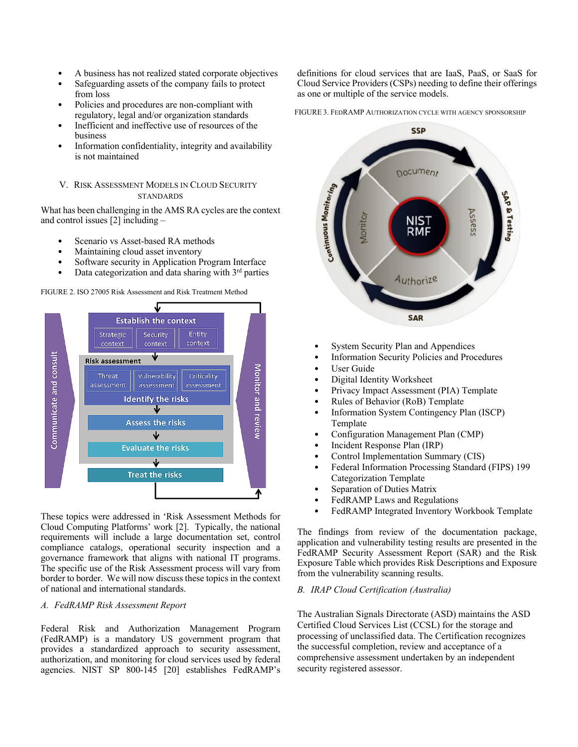- A business has not realized stated corporate objectives
- Safeguarding assets of the company fails to protect from loss
- Policies and procedures are non-compliant with regulatory, legal and/or organization standards
- Inefficient and ineffective use of resources of the business
- Information confidentiality, integrity and availability is not maintained

## V. RISK ASSESSMENT MODELS IN CLOUD SECURITY **STANDARDS**

What has been challenging in the AMS RA cycles are the context and control issues [2] including –

- Scenario vs Asset-based RA methods
- Maintaining cloud asset inventory
- Software security in Application Program Interface
- Data categorization and data sharing with  $3<sup>rd</sup>$  parties

FIGURE 2. ISO 27005 Risk Assessment and Risk Treatment Method



These topics were addressed in 'Risk Assessment Methods for Cloud Computing Platforms' work [2]. Typically, the national requirements will include a large documentation set, control compliance catalogs, operational security inspection and a governance framework that aligns with national IT programs. The specific use of the Risk Assessment process will vary from border to border. We will now discuss these topics in the context of national and international standards.

#### *A. FedRAMP Risk Assessment Report*

Federal Risk and Authorization Management Program (FedRAMP) is a mandatory US government program that provides a standardized approach to security assessment, authorization, and monitoring for cloud services used by federal agencies. NIST SP 800-145 [20] establishes FedRAMP's

definitions for cloud services that are IaaS, PaaS, or SaaS for Cloud Service Providers (CSPs) needing to define their offerings as one or multiple of the service models.

FIGURE 3. FEDRAMP AUTHORIZATION CYCLE WITH AGENCY SPONSORSHIP



- System Security Plan and Appendices
- Information Security Policies and Procedures
- User Guide
- Digital Identity Worksheet
- Privacy Impact Assessment (PIA) Template
- Rules of Behavior (RoB) Template
- Information System Contingency Plan (ISCP) Template
- Configuration Management Plan (CMP)
- Incident Response Plan (IRP)
- Control Implementation Summary (CIS)
- Federal Information Processing Standard (FIPS) 199 Categorization Template
- Separation of Duties Matrix
- FedRAMP Laws and Regulations
- FedRAMP Integrated Inventory Workbook Template

The findings from review of the documentation package, application and vulnerability testing results are presented in the FedRAMP Security Assessment Report (SAR) and the Risk Exposure Table which provides Risk Descriptions and Exposure from the vulnerability scanning results.

#### *B. IRAP Cloud Certification (Australia)*

The Australian Signals Directorate (ASD) maintains the ASD Certified Cloud Services List (CCSL) for the storage and processing of unclassified data. The Certification recognizes the successful completion, review and acceptance of a comprehensive assessment undertaken by an independent security registered assessor.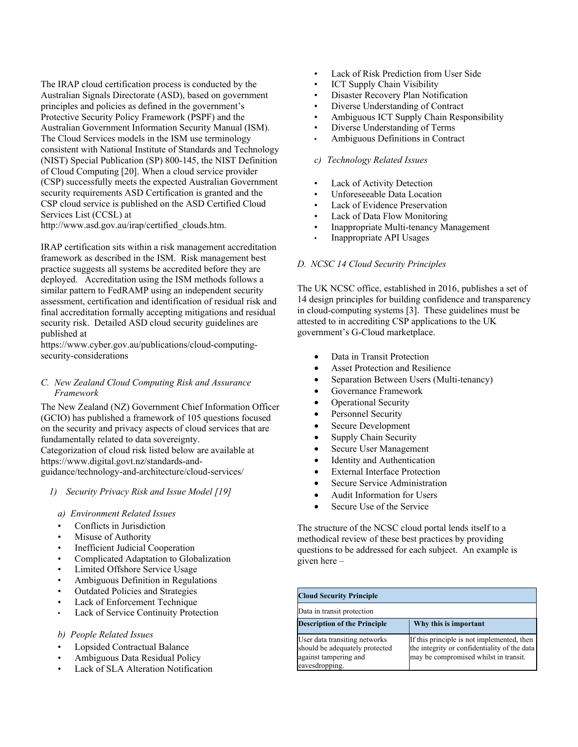The IRAP cloud certification process is conducted by the Australian Signals Directorate (ASD), based on government principles and policies as defined in the government's Protective Security Policy Framework (PSPF) and the Australian Government Information Security Manual (ISM). The Cloud Services models in the ISM use terminology consistent with National Institute of Standards and Technology (NIST) Special Publication (SP) 800-145, the NIST Definition of Cloud Computing [20]. When a cloud service provider (CSP) successfully meets the expected Australian Government security requirements ASD Certification is granted and the CSP cloud service is published on the ASD Certified Cloud Services List (CCSL) at

http://www.asd.gov.au/irap/certified\_clouds.htm.

IRAP certification sits within a risk management accreditation framework as described in the ISM. Risk management best practice suggests all systems be accredited before they are deployed. Accreditation using the ISM methods follows a similar pattern to FedRAMP using an independent security assessment, certification and identification of residual risk and final accreditation formally accepting mitigations and residual security risk. Detailed ASD cloud security guidelines are published at

https://www.cyber.gov.au/publications/cloud-computingsecurity-considerations

## *C. New Zealand Cloud Computing Risk and Assurance Framework*

The New Zealand (NZ) Government Chief Information Officer (GCIO) has published a framework of 105 questions focused on the security and privacy aspects of cloud services that are fundamentally related to data sovereignty. Categorization of cloud risk listed below are available at https://www.digital.govt.nz/standards-and-

guidance/technology-and-architecture/cloud-services/

*1) Security Privacy Risk and Issue Model [19]* 

## *a) Environment Related Issues*

- Conflicts in Jurisdiction
- Misuse of Authority
- Inefficient Judicial Cooperation
- Complicated Adaptation to Globalization
- Limited Offshore Service Usage
- Ambiguous Definition in Regulations
- Outdated Policies and Strategies
- Lack of Enforcement Technique
- Lack of Service Continuity Protection

# *b) People Related Issues*

- Lopsided Contractual Balance
- Ambiguous Data Residual Policy
- Lack of SLA Alteration Notification
- Lack of Risk Prediction from User Side
- **ICT Supply Chain Visibility**
- Disaster Recovery Plan Notification
- Diverse Understanding of Contract
- Ambiguous ICT Supply Chain Responsibility
- Diverse Understanding of Terms
- Ambiguous Definitions in Contract

# *c) Technology Related Issues*

- Lack of Activity Detection
- Unforeseeable Data Location
- **Lack of Evidence Preservation**
- Lack of Data Flow Monitoring
- Inappropriate Multi-tenancy Management
- Inappropriate API Usages

# *D. NCSC 14 Cloud Security Principles*

The UK NCSC office, established in 2016, publishes a set of 14 design principles for building confidence and transparency in cloud-computing systems [3]. These guidelines must be attested to in accrediting CSP applications to the UK government's G-Cloud marketplace.

- Data in Transit Protection
- Asset Protection and Resilience
- Separation Between Users (Multi-tenancy)
- Governance Framework
- Operational Security
- Personnel Security
- Secure Development
- Supply Chain Security
- Secure User Management
- Identity and Authentication
- **External Interface Protection**
- Secure Service Administration
- Audit Information for Users
- Secure Use of the Service

The structure of the NCSC cloud portal lends itself to a methodical review of these best practices by providing questions to be addressed for each subject. An example is given here –

| <b>Cloud Security Principle</b>                                                                            |                                                                                                                                     |  |
|------------------------------------------------------------------------------------------------------------|-------------------------------------------------------------------------------------------------------------------------------------|--|
| Data in transit protection                                                                                 |                                                                                                                                     |  |
| <b>Description of the Principle</b>                                                                        | Why this is important                                                                                                               |  |
| User data transiting networks<br>should be adequately protected<br>against tampering and<br>eavesdropping. | If this principle is not implemented, then<br>the integrity or confidentiality of the data<br>may be compromised whilst in transit. |  |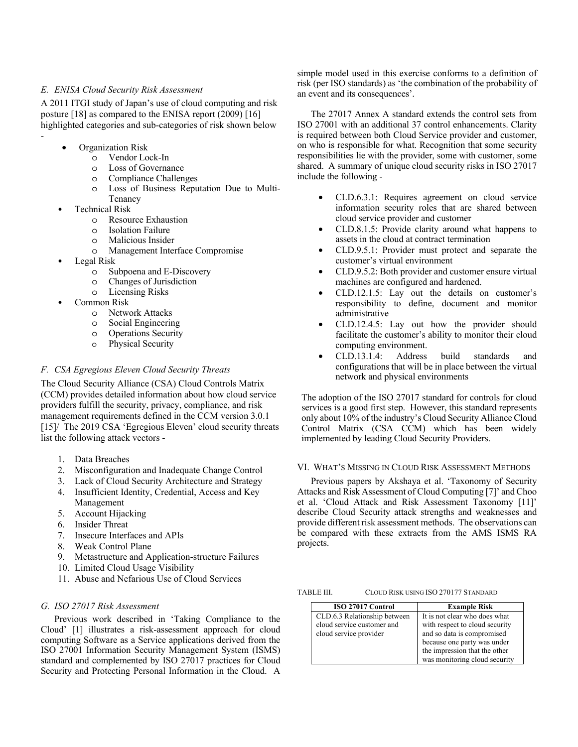## *E. ENISA Cloud Security Risk Assessment*

A 2011 ITGI study of Japan's use of cloud computing and risk posture [18] as compared to the ENISA report (2009) [16] highlighted categories and sub-categories of risk shown below -

- Organization Risk
	- o Vendor Lock-In
	- o Loss of Governance
	- o Compliance Challenges
	- o Loss of Business Reputation Due to Multi-Tenancy
- Technical Risk
	- o Resource Exhaustion
	- o Isolation Failure
	- o Malicious Insider
	- o Management Interface Compromise
- Legal Risk
	- o Subpoena and E-Discovery
	- o Changes of Jurisdiction
	- o Licensing Risks
- Common Risk
	- o Network Attacks
	- o Social Engineering
	- o Operations Security
	- o Physical Security

## *F. CSA Egregious Eleven Cloud Security Threats*

The Cloud Security Alliance (CSA) Cloud Controls Matrix (CCM) provides detailed information about how cloud service providers fulfill the security, privacy, compliance, and risk management requirements defined in the CCM version 3.0.1 [15]/ The 2019 CSA 'Egregious Eleven' cloud security threats list the following attack vectors -

- 1. Data Breaches
- 2. Misconfiguration and Inadequate Change Control
- 3. Lack of Cloud Security Architecture and Strategy
- 4. Insufficient Identity, Credential, Access and Key Management
- 5. Account Hijacking
- 6. Insider Threat
- 7. Insecure Interfaces and APIs
- 8. Weak Control Plane
- 9. Metastructure and Application-structure Failures
- 10. Limited Cloud Usage Visibility
- 11. Abuse and Nefarious Use of Cloud Services

# *G. ISO 27017 Risk Assessment*

Previous work described in 'Taking Compliance to the Cloud' [1] illustrates a risk-assessment approach for cloud computing Software as a Service applications derived from the ISO 27001 Information Security Management System (ISMS) standard and complemented by ISO 27017 practices for Cloud Security and Protecting Personal Information in the Cloud. A

simple model used in this exercise conforms to a definition of risk (per ISO standards) as 'the combination of the probability of an event and its consequences'.

The 27017 Annex A standard extends the control sets from ISO 27001 with an additional 37 control enhancements. Clarity is required between both Cloud Service provider and customer, on who is responsible for what. Recognition that some security responsibilities lie with the provider, some with customer, some shared. A summary of unique cloud security risks in ISO 27017 include the following -

- CLD.6.3.1: Requires agreement on cloud service information security roles that are shared between cloud service provider and customer
- CLD.8.1.5: Provide clarity around what happens to assets in the cloud at contract termination
- CLD.9.5.1: Provider must protect and separate the customer's virtual environment
- CLD.9.5.2: Both provider and customer ensure virtual machines are configured and hardened.
- CLD.12.1.5: Lay out the details on customer's responsibility to define, document and monitor administrative
- CLD.12.4.5: Lay out how the provider should facilitate the customer's ability to monitor their cloud computing environment.
- CLD.13.1.4: Address build standards and configurations that will be in place between the virtual network and physical environments

The adoption of the ISO 27017 standard for controls for cloud services is a good first step. However, this standard represents only about 10% of the industry's Cloud Security Alliance Cloud Control Matrix (CSA CCM) which has been widely implemented by leading Cloud Security Providers.

## VI. WHAT'S MISSING IN CLOUD RISK ASSESSMENT METHODS

Previous papers by Akshaya et al. 'Taxonomy of Security Attacks and Risk Assessment of Cloud Computing [7]' and Choo et al. 'Cloud Attack and Risk Assessment Taxonomy [11]' describe Cloud Security attack strengths and weaknesses and provide different risk assessment methods. The observations can be compared with these extracts from the AMS ISMS RA projects.

TABLE III. CLOUD RISK USING ISO 270177 STANDARD

| ISO 27017 Control            | <b>Example Risk</b>            |
|------------------------------|--------------------------------|
| CLD.6.3 Relationship between | It is not clear who does what  |
| cloud service customer and   | with respect to cloud security |
| cloud service provider       | and so data is compromised     |
|                              | because one party was under    |
|                              | the impression that the other  |
|                              | was monitoring cloud security  |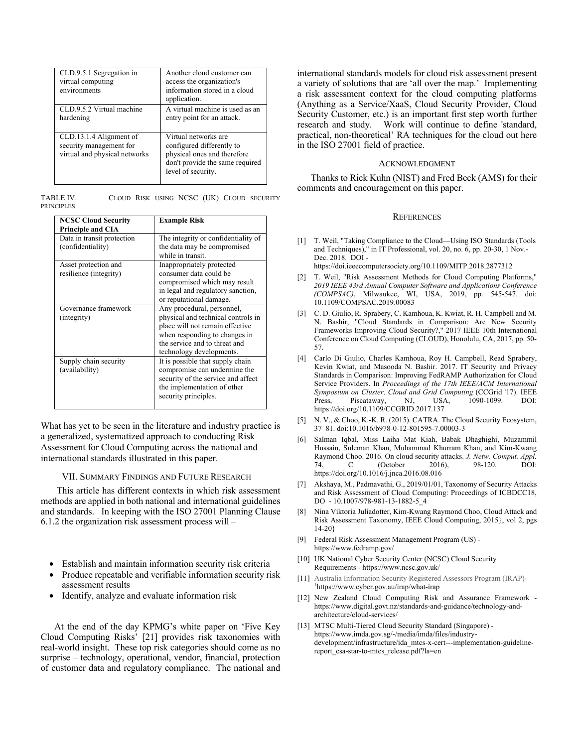| CLD.9.5.1 Segregation in<br>virtual computing<br>environments                       | Another cloud customer can<br>access the organization's<br>information stored in a cloud<br>application.                                  |
|-------------------------------------------------------------------------------------|-------------------------------------------------------------------------------------------------------------------------------------------|
| CLD.9.5.2 Virtual machine<br>hardening                                              | A virtual machine is used as an<br>entry point for an attack.                                                                             |
| CLD.13.1.4 Alignment of<br>security management for<br>virtual and physical networks | Virtual networks are<br>configured differently to<br>physical ones and therefore<br>don't provide the same required<br>level of security. |

TABLE IV. CLOUD RISK USING NCSC (UK) CLOUD SECURITY PRINCIPLES

| <b>NCSC Cloud Security</b><br><b>Principle and CIA</b> | <b>Example Risk</b>                                                                                                                                                                               |
|--------------------------------------------------------|---------------------------------------------------------------------------------------------------------------------------------------------------------------------------------------------------|
| Data in transit protection<br>(confidentiality)        | The integrity or confidentiality of<br>the data may be compromised<br>while in transit.                                                                                                           |
| Asset protection and<br>resilience (integrity)         | Inappropriately protected<br>consumer data could be<br>compromised which may result<br>in legal and regulatory sanction,<br>or reputational damage.                                               |
| Governance framework<br>(integrity)                    | Any procedural, personnel,<br>physical and technical controls in<br>place will not remain effective<br>when responding to changes in<br>the service and to threat and<br>technology developments. |
| Supply chain security<br>(availability)                | It is possible that supply chain<br>compromise can undermine the<br>security of the service and affect<br>the implementation of other<br>security principles.                                     |

What has yet to be seen in the literature and industry practice is a generalized, systematized approach to conducting Risk Assessment for Cloud Computing across the national and international standards illustrated in this paper.

VII. SUMMARY FINDINGS AND FUTURE RESEARCH

 This article has different contexts in which risk assessment methods are applied in both national and international guidelines and standards. In keeping with the ISO 27001 Planning Clause 6.1.2 the organization risk assessment process will –

- Establish and maintain information security risk criteria
- Produce repeatable and verifiable information security risk assessment results
- Identify, analyze and evaluate information risk

At the end of the day KPMG's white paper on 'Five Key Cloud Computing Risks' [21] provides risk taxonomies with real-world insight. These top risk categories should come as no surprise – technology, operational, vendor, financial, protection of customer data and regulatory compliance. The national and international standards models for cloud risk assessment present a variety of solutions that are 'all over the map.' Implementing a risk assessment context for the cloud computing platforms (Anything as a Service/XaaS, Cloud Security Provider, Cloud Security Customer, etc.) is an important first step worth further research and study. Work will continue to define 'standard, practical, non-theoretical' RA techniques for the cloud out here in the ISO 27001 field of practice.

#### ACKNOWLEDGMENT

Thanks to Rick Kuhn (NIST) and Fred Beck (AMS) for their comments and encouragement on this paper.

#### **REFERENCES**

[1] T. Weil, "Taking Compliance to the Cloud—Using ISO Standards (Tools and Techniques)," in IT Professional, vol. 20, no. 6, pp. 20-30, 1 Nov.- Dec. 2018. DOI -

https://doi.ieeecomputersociety.org/10.1109/MITP.2018.2877312

- [2] T. Weil, "Risk Assessment Methods for Cloud Computing Platforms," *2019 IEEE 43rd Annual Computer Software and Applications Conference (COMPSAC)*, Milwaukee, WI, USA, 2019, pp. 545-547. doi: 10.1109/COMPSAC.2019.00083
- [3] C. D. Giulio, R. Sprabery, C. Kamhoua, K. Kwiat, R. H. Campbell and M. N. Bashir, "Cloud Standards in Comparison: Are New Security Frameworks Improving Cloud Security?," 2017 IEEE 10th International Conference on Cloud Computing (CLOUD), Honolulu, CA, 2017, pp. 50- 57.
- [4] Carlo Di Giulio, Charles Kamhoua, Roy H. Campbell, Read Sprabery, Kevin Kwiat, and Masooda N. Bashir. 2017. IT Security and Privacy Standards in Comparison: Improving FedRAMP Authorization for Cloud Service Providers. In *Proceedings of the 17th IEEE/ACM International Symposium on Cluster, Cloud and Grid Computing* (CCGrid '17). IEEE Press, Piscataway, NJ, USA, 1090-1099. DOI: https://doi.org/10.1109/CCGRID.2017.137
- [5] N. V., & Choo, K.-K. R. (2015). CATRA. The Cloud Security Ecosystem, 37–81. doi:10.1016/b978-0-12-801595-7.00003-3
- [6] Salman Iqbal, Miss Laiha Mat Kiah, Babak Dhaghighi, Muzammil Hussain, Suleman Khan, Muhammad Khurram Khan, and Kim-Kwang Raymond Choo. 2016. On cloud security attacks. *J. Netw. Comput. Appl.* 74, C (October 2016), 98-120. DOI: https://doi.org/10.1016/j.jnca.2016.08.016
- [7] Akshaya, M., Padmavathi, G., 2019/01/01, Taxonomy of Security Attacks and Risk Assessment of Cloud Computing: Proceedings of ICBDCC18, DO - 10.1007/978-981-13-1882-5\_4
- [8] Nina Viktoria Juliadotter, Kim-Kwang Raymond Choo, Cloud Attack and Risk Assessment Taxonomy, IEEE Cloud Computing, 2015}, vol 2, pgs 14-20}
- [9] Federal Risk Assessment Management Program (US) https://www.fedramp.gov/
- [10] UK National Cyber Security Center (NCSC) Cloud Security Requirements - https://www.ncsc.gov.uk/
- [11] Australia Information Security Registered Assessors Program (IRAP)-1 https://www.cyber.gov.au/irap/what-irap
- [12] New Zealand Cloud Computing Risk and Assurance Framework https://www.digital.govt.nz/standards-and-guidance/technology-andarchitecture/cloud-services/
- [13] MTSC Multi-Tiered Cloud Security Standard (Singapore) https://www.imda.gov.sg/-/media/imda/files/industrydevelopment/infrastructure/ida\_mtcs-x-cert---implementation-guidelinereport\_csa-star-to-mtcs\_release.pdf?la=en